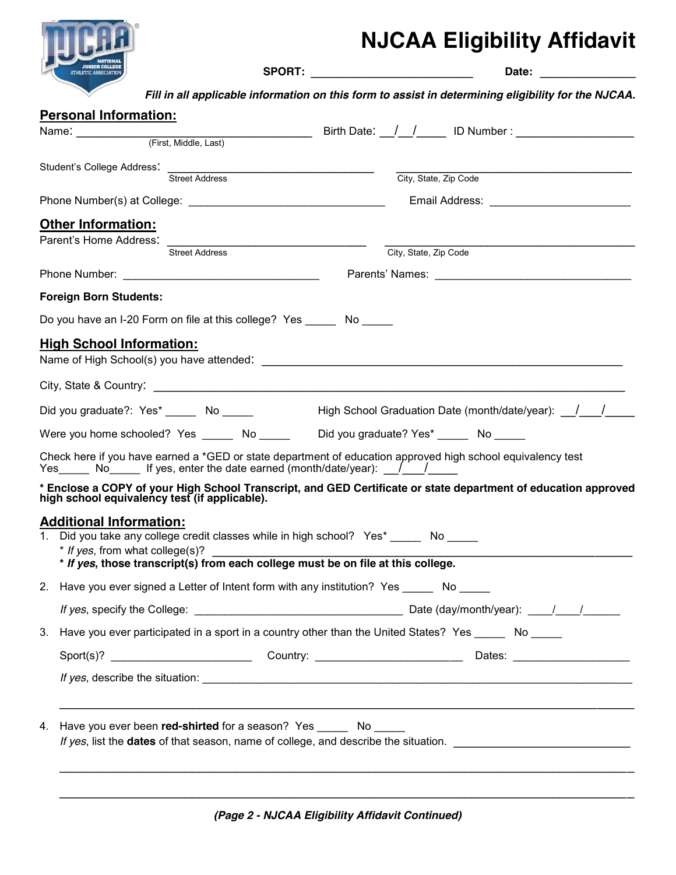

## **NJCAA Eligibility Affidavit**

**SPORT:** \_\_\_\_\_\_\_\_\_\_\_\_\_\_\_\_\_\_\_\_\_\_ **Date:** \_\_\_\_\_\_\_\_\_\_\_\_\_

*Fill in all applicable information on this form to assist in determining eligibility for the NJCAA.*

| <b>Personal Information:</b>                                                                                                                                                                                |                                                                                                                                                                 |
|-------------------------------------------------------------------------------------------------------------------------------------------------------------------------------------------------------------|-----------------------------------------------------------------------------------------------------------------------------------------------------------------|
|                                                                                                                                                                                                             |                                                                                                                                                                 |
|                                                                                                                                                                                                             |                                                                                                                                                                 |
| Student's College Address:<br>Street Address                                                                                                                                                                | City, State, Zip Code                                                                                                                                           |
|                                                                                                                                                                                                             |                                                                                                                                                                 |
| <b>Other Information:</b>                                                                                                                                                                                   |                                                                                                                                                                 |
| Parent's Home Address: Street Address                                                                                                                                                                       |                                                                                                                                                                 |
|                                                                                                                                                                                                             | City, State, Zip Code                                                                                                                                           |
|                                                                                                                                                                                                             |                                                                                                                                                                 |
| <b>Foreign Born Students:</b>                                                                                                                                                                               |                                                                                                                                                                 |
| Do you have an I-20 Form on file at this college? Yes No                                                                                                                                                    |                                                                                                                                                                 |
| <b>High School Information:</b>                                                                                                                                                                             |                                                                                                                                                                 |
|                                                                                                                                                                                                             |                                                                                                                                                                 |
|                                                                                                                                                                                                             |                                                                                                                                                                 |
| Did you graduate?: Yes* _______ No ______                                                                                                                                                                   | High School Graduation Date (month/date/year): / /                                                                                                              |
|                                                                                                                                                                                                             | Were you home schooled? Yes _______ No _______ Did you graduate? Yes* ______ No _____                                                                           |
| Yes $\_\_\_\$ No is the ves, enter the date earned (month/date/year): $\_\_\_\_\_$                                                                                                                          | Check here if you have earned a *GED or state department of education approved high school equivalency test                                                     |
|                                                                                                                                                                                                             | * Enclose a COPY of your High School Transcript, and GED Certificate or state department of education approved<br>high school equivalency test (if applicable). |
| <b>Additional Information:</b><br>1. Did you take any college credit classes while in high school? Yes* ______ No _____<br>* If yes, those transcript(s) from each college must be on file at this college. |                                                                                                                                                                 |
| 2. Have you ever signed a Letter of Intent form with any institution? Yes No                                                                                                                                |                                                                                                                                                                 |
|                                                                                                                                                                                                             |                                                                                                                                                                 |
| 3.                                                                                                                                                                                                          | Have you ever participated in a sport in a country other than the United States? Yes _____ No _____                                                             |
|                                                                                                                                                                                                             |                                                                                                                                                                 |
|                                                                                                                                                                                                             |                                                                                                                                                                 |
| Have you ever been red-shirted for a season? Yes _______ No _____<br>4.                                                                                                                                     |                                                                                                                                                                 |
|                                                                                                                                                                                                             |                                                                                                                                                                 |